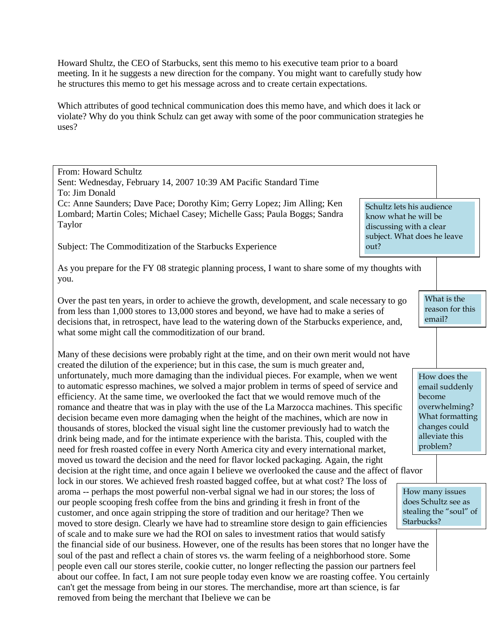Howard Shultz, the CEO of Starbucks, sent this memo to his executive team prior to a board meeting. In it he suggests a new direction for the company. You might want to carefully study how he structures this memo to get his message across and to create certain expectations.

Which attributes of good technical communication does this memo have, and which does it lack or violate? Why do you think Schulz can get away with some of the poor communication strategies he uses?